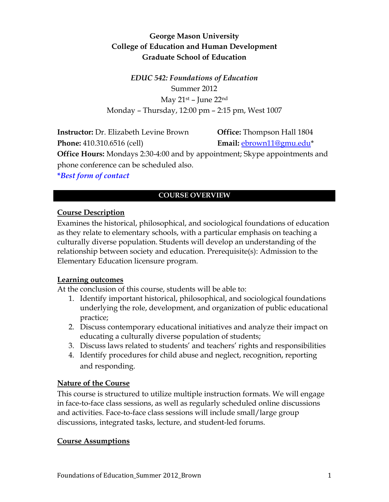# **George Mason University College of Education and Human Development Graduate School of Education**

*EDUC 542: Foundations of Education* Summer 2012 May  $21$ <sup>st</sup> – June  $22<sup>nd</sup>$ Monday – Thursday, 12:00 pm – 2:15 pm, West 1007

**Instructor:** Dr. Elizabeth Levine Brown **Office:** Thompson Hall 1804 **Phone:** 410.310.6516 (cell) **Email:** [ebrown11@gmu.edu\\*](mailto:sdodman@gmu.edu) **Office Hours:** Mondays 2:30-4:00 and by appointment; Skype appointments and phone conference can be scheduled also.

**\****Best form of contact*

# **COURSE OVERVIEW**

## **Course Description**

Examines the historical, philosophical, and sociological foundations of education as they relate to elementary schools, with a particular emphasis on teaching a culturally diverse population. Students will develop an understanding of the relationship between society and education. Prerequisite(s): Admission to the Elementary Education licensure program.

## **Learning outcomes**

At the conclusion of this course, students will be able to:

- 1. Identify important historical, philosophical, and sociological foundations underlying the role, development, and organization of public educational practice;
- 2. Discuss contemporary educational initiatives and analyze their impact on educating a culturally diverse population of students;
- 3. Discuss laws related to students' and teachers' rights and responsibilities
- 4. Identify procedures for child abuse and neglect, recognition, reporting and responding.

## **Nature of the Course**

This course is structured to utilize multiple instruction formats. We will engage in face-to-face class sessions, as well as regularly scheduled online discussions and activities. Face-to-face class sessions will include small/large group discussions, integrated tasks, lecture, and student-led forums.

#### **Course Assumptions**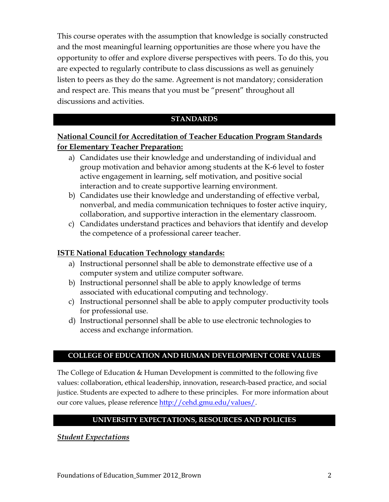This course operates with the assumption that knowledge is socially constructed and the most meaningful learning opportunities are those where you have the opportunity to offer and explore diverse perspectives with peers. To do this, you are expected to regularly contribute to class discussions as well as genuinely listen to peers as they do the same. Agreement is not mandatory; consideration and respect are. This means that you must be "present" throughout all discussions and activities.

#### **STANDARDS**

# **National Council for Accreditation of Teacher Education Program Standards for Elementary Teacher Preparation:**

- a) Candidates use their knowledge and understanding of individual and group motivation and behavior among students at the K-6 level to foster active engagement in learning, self motivation, and positive social interaction and to create supportive learning environment.
- b) Candidates use their knowledge and understanding of effective verbal, nonverbal, and media communication techniques to foster active inquiry, collaboration, and supportive interaction in the elementary classroom.
- c) Candidates understand practices and behaviors that identify and develop the competence of a professional career teacher.

#### **ISTE National Education Technology standards:**

- a) Instructional personnel shall be able to demonstrate effective use of a computer system and utilize computer software.
- b) Instructional personnel shall be able to apply knowledge of terms associated with educational computing and technology.
- c) Instructional personnel shall be able to apply computer productivity tools for professional use.
- d) Instructional personnel shall be able to use electronic technologies to access and exchange information.

#### **COLLEGE OF EDUCATION AND HUMAN DEVELOPMENT CORE VALUES**

The College of Education & Human Development is committed to the following five values: collaboration, ethical leadership, innovation, research-based practice, and social justice. Students are expected to adhere to these principles. For more information about our core values, please referenc[e http://cehd.gmu.edu/values/.](http://cehd.gmu.edu/values/)

## **UNIVERSITY EXPECTATIONS, RESOURCES AND POLICIES**

#### *Student Expectations*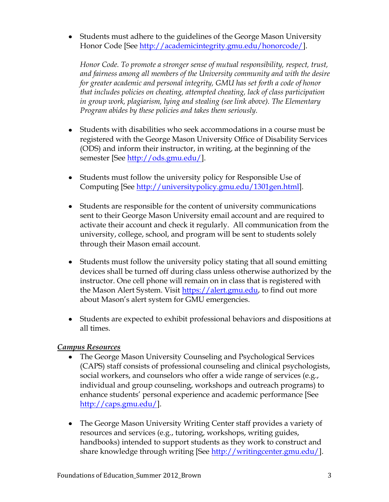Students must adhere to the guidelines of the George Mason University Honor Code [See [http://academicintegrity.gmu.edu/honorcode/\]](http://academicintegrity.gmu.edu/honorcode/).

*Honor Code. To promote a stronger sense of mutual responsibility, respect, trust, and fairness among all members of the University community and with the desire for greater academic and personal integrity, GMU has set forth a code of honor that includes policies on cheating, attempted cheating, lack of class participation in group work, plagiarism, lying and stealing (see link above). The Elementary Program abides by these policies and takes them seriously.* 

- Students with disabilities who seek accommodations in a course must be registered with the George Mason University Office of Disability Services (ODS) and inform their instructor, in writing, at the beginning of the semester [See [http://ods.gmu.edu/\]](http://ods.gmu.edu/).
- Students must follow the university policy for Responsible Use of Computing [See [http://universitypolicy.gmu.edu/1301gen.html\]](http://universitypolicy.gmu.edu/1301gen.html).
- Students are responsible for the content of university communications sent to their George Mason University email account and are required to activate their account and check it regularly. All communication from the university, college, school, and program will be sent to students solely through their Mason email account.
- Students must follow the university policy stating that all sound emitting devices shall be turned off during class unless otherwise authorized by the instructor. One cell phone will remain on in class that is registered with the Mason Alert System. Visit [https://alert.gmu.edu,](https://alert.gmu.edu/) to find out more about Mason's alert system for GMU emergencies.
- Students are expected to exhibit professional behaviors and dispositions at all times.

## *Campus Resources*

- The George Mason University Counseling and Psychological Services (CAPS) staff consists of professional counseling and clinical psychologists, social workers, and counselors who offer a wide range of services (e.g., individual and group counseling, workshops and outreach programs) to enhance students' personal experience and academic performance [See [http://caps.gmu.edu/\]](http://caps.gmu.edu/).
- The George Mason University Writing Center staff provides a variety of resources and services (e.g., tutoring, workshops, writing guides, handbooks) intended to support students as they work to construct and share knowledge through writing [See [http://writingcenter.gmu.edu/\]](http://writingcenter.gmu.edu/).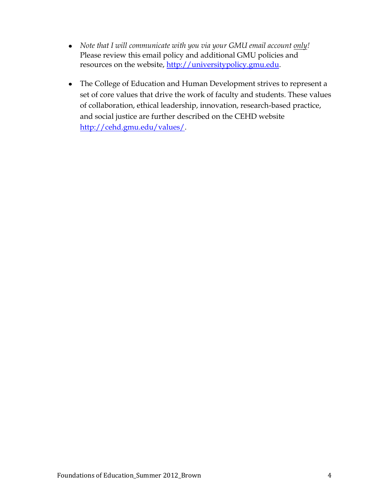- *Note that I will communicate with you via your GMU email account only!* Please review this email policy and additional GMU policies and resources on the website, [http://universitypolicy.gmu.edu.](http://universitypolicy.gmu.edu/)
- The College of Education and Human Development strives to represent a set of core values that drive the work of faculty and students. These values of collaboration, ethical leadership, innovation, research-based practice, and social justice are further described on the CEHD website [http://cehd.gmu.edu/values/.](http://cehd.gmu.edu/values/)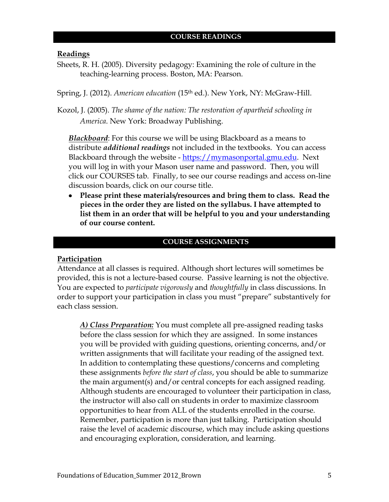#### **Readings**

Sheets, R. H. (2005). Diversity pedagogy: Examining the role of culture in the teaching-learning process. Boston, MA: Pearson.

Spring, J. (2012). *American education* (15th ed.). New York, NY: McGraw-Hill.

Kozol, J. (2005). *The shame of the nation: The restoration of apartheid schooling in America*. New York: Broadway Publishing.

*Blackboard*: For this course we will be using Blackboard as a means to distribute *additional readings* not included in the textbooks. You can access Blackboard through the website - [https://mymasonportal.gmu.edu.](https://mymasonportal.gmu.edu/) Next you will log in with your Mason user name and password. Then, you will click our COURSES tab. Finally, to see our course readings and access on-line discussion boards, click on our course title.

**Please print these materials/resources and bring them to class. Read the pieces in the order they are listed on the syllabus. I have attempted to list them in an order that will be helpful to you and your understanding of our course content.**

#### **COURSE ASSIGNMENTS**

#### **Participation**

Attendance at all classes is required. Although short lectures will sometimes be provided, this is not a lecture-based course. Passive learning is not the objective. You are expected to *participate vigorously* and *thoughtfully* in class discussions. In order to support your participation in class you must "prepare" substantively for each class session.

*A) Class Preparation:* You must complete all pre-assigned reading tasks before the class session for which they are assigned. In some instances you will be provided with guiding questions, orienting concerns, and/or written assignments that will facilitate your reading of the assigned text. In addition to contemplating these questions/concerns and completing these assignments *before the start of class*, you should be able to summarize the main argument(s) and/or central concepts for each assigned reading. Although students are encouraged to volunteer their participation in class, the instructor will also call on students in order to maximize classroom opportunities to hear from ALL of the students enrolled in the course. Remember, participation is more than just talking. Participation should raise the level of academic discourse, which may include asking questions and encouraging exploration, consideration, and learning.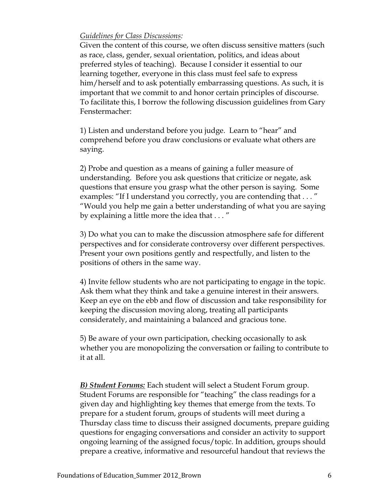#### *Guidelines for Class Discussions:*

Given the content of this course, we often discuss sensitive matters (such as race, class, gender, sexual orientation, politics, and ideas about preferred styles of teaching). Because I consider it essential to our learning together, everyone in this class must feel safe to express him/herself and to ask potentially embarrassing questions. As such, it is important that we commit to and honor certain principles of discourse. To facilitate this, I borrow the following discussion guidelines from Gary Fenstermacher:

1) Listen and understand before you judge. Learn to "hear" and comprehend before you draw conclusions or evaluate what others are saying.

2) Probe and question as a means of gaining a fuller measure of understanding. Before you ask questions that criticize or negate, ask questions that ensure you grasp what the other person is saying. Some examples: "If I understand you correctly, you are contending that . . . " "Would you help me gain a better understanding of what you are saying by explaining a little more the idea that . . . "

3) Do what you can to make the discussion atmosphere safe for different perspectives and for considerate controversy over different perspectives. Present your own positions gently and respectfully, and listen to the positions of others in the same way.

4) Invite fellow students who are not participating to engage in the topic. Ask them what they think and take a genuine interest in their answers. Keep an eye on the ebb and flow of discussion and take responsibility for keeping the discussion moving along, treating all participants considerately, and maintaining a balanced and gracious tone.

5) Be aware of your own participation, checking occasionally to ask whether you are monopolizing the conversation or failing to contribute to it at all.

*B) Student Forums:* Each student will select a Student Forum group. Student Forums are responsible for "teaching" the class readings for a given day and highlighting key themes that emerge from the texts. To prepare for a student forum, groups of students will meet during a Thursday class time to discuss their assigned documents, prepare guiding questions for engaging conversations and consider an activity to support ongoing learning of the assigned focus/topic. In addition, groups should prepare a creative, informative and resourceful handout that reviews the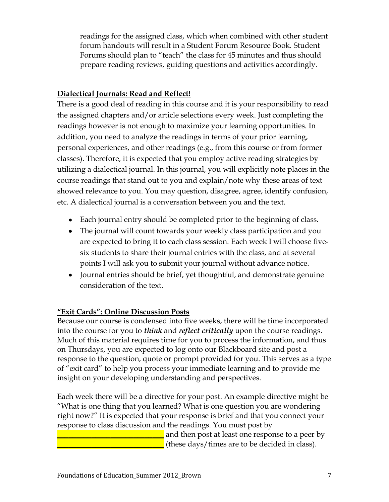readings for the assigned class, which when combined with other student forum handouts will result in a Student Forum Resource Book. Student Forums should plan to "teach" the class for 45 minutes and thus should prepare reading reviews, guiding questions and activities accordingly.

# **Dialectical Journals: Read and Reflect!**

There is a good deal of reading in this course and it is your responsibility to read the assigned chapters and/or article selections every week. Just completing the readings however is not enough to maximize your learning opportunities. In addition, you need to analyze the readings in terms of your prior learning, personal experiences, and other readings (e.g., from this course or from former classes). Therefore, it is expected that you employ active reading strategies by utilizing a dialectical journal. In this journal, you will explicitly note places in the course readings that stand out to you and explain/note why these areas of text showed relevance to you. You may question, disagree, agree, identify confusion, etc. A dialectical journal is a conversation between you and the text.

- Each journal entry should be completed prior to the beginning of class.
- The journal will count towards your weekly class participation and you are expected to bring it to each class session. Each week I will choose fivesix students to share their journal entries with the class, and at several points I will ask you to submit your journal without advance notice.
- Journal entries should be brief, yet thoughtful, and demonstrate genuine consideration of the text.

# **"Exit Cards": Online Discussion Posts**

Because our course is condensed into five weeks, there will be time incorporated into the course for you to *think* and *reflect critically* upon the course readings. Much of this material requires time for you to process the information, and thus on Thursdays, you are expected to log onto our Blackboard site and post a response to the question, quote or prompt provided for you. This serves as a type of "exit card" to help you process your immediate learning and to provide me insight on your developing understanding and perspectives.

Each week there will be a directive for your post. An example directive might be "What is one thing that you learned? What is one question you are wondering right now?" It is expected that your response is brief and that you connect your response to class discussion and the readings. You must post by

> and then post at least one response to a peer by \_\_\_\_\_\_\_\_\_\_\_\_\_\_\_\_\_\_\_\_\_\_\_\_\_\_\_\_ (these days/times are to be decided in class).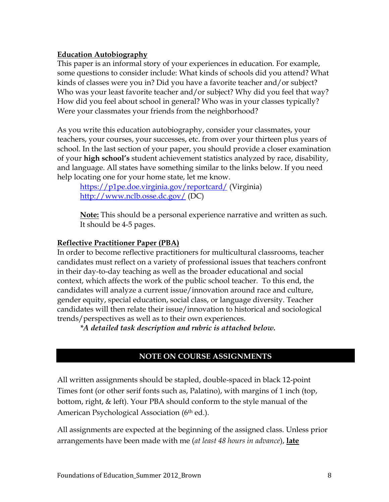### **Education Autobiography**

This paper is an informal story of your experiences in education. For example, some questions to consider include: What kinds of schools did you attend? What kinds of classes were you in? Did you have a favorite teacher and/or subject? Who was your least favorite teacher and/or subject? Why did you feel that way? How did you feel about school in general? Who was in your classes typically? Were your classmates your friends from the neighborhood?

As you write this education autobiography, consider your classmates, your teachers, your courses, your successes, etc. from over your thirteen plus years of school. In the last section of your paper, you should provide a closer examination of your **high school's** student achievement statistics analyzed by race, disability, and language. All states have something similar to the links below. If you need help locating one for your home state, let me know.

<https://p1pe.doe.virginia.gov/reportcard/> (Virginia) <http://www.nclb.osse.dc.gov/> (DC)

**Note:** This should be a personal experience narrative and written as such. It should be 4-5 pages.

### **Reflective Practitioner Paper (PBA)**

In order to become reflective practitioners for multicultural classrooms, teacher candidates must reflect on a variety of professional issues that teachers confront in their day-to-day teaching as well as the broader educational and social context, which affects the work of the public school teacher. To this end, the candidates will analyze a current issue/innovation around race and culture, gender equity, special education, social class, or language diversity. Teacher candidates will then relate their issue/innovation to historical and sociological trends/perspectives as well as to their own experiences.

*\*A detailed task description and rubric is attached below.*

## **NOTE ON COURSE ASSIGNMENTS**

All written assignments should be stapled, double-spaced in black 12-point Times font (or other serif fonts such as, Palatino), with margins of 1 inch (top, bottom, right, & left). Your PBA should conform to the style manual of the American Psychological Association (6<sup>th</sup> ed.).

All assignments are expected at the beginning of the assigned class. Unless prior arrangements have been made with me (*at least 48 hours in advance*), **late**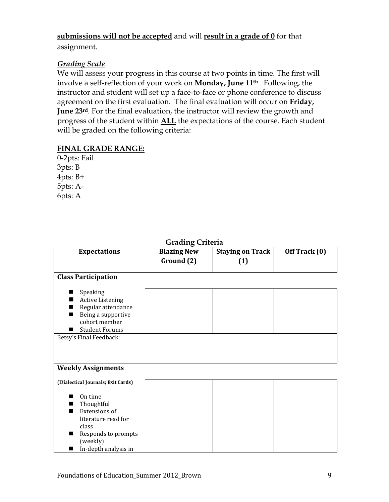## **submissions will not be accepted** and will **result in a grade of 0** for that

assignment.

# *Grading Scale*

We will assess your progress in this course at two points in time. The first will involve a self-reflection of your work on **Monday, June 11th**. Following, the instructor and student will set up a face-to-face or phone conference to discuss agreement on the first evaluation. The final evaluation will occur on **Friday, June 23rd**. For the final evaluation, the instructor will review the growth and progress of the student within **ALL** the expectations of the course. Each student will be graded on the following criteria:

## **FINAL GRADE RANGE:**

0-2pts: Fail 3pts: B 4pts: B+ 5pts: A-6pts: A

| <b>Grading Criteria</b>                                                                                                                              |                                  |                                |               |  |  |
|------------------------------------------------------------------------------------------------------------------------------------------------------|----------------------------------|--------------------------------|---------------|--|--|
| <b>Expectations</b>                                                                                                                                  | <b>Blazing New</b><br>Ground (2) | <b>Staying on Track</b><br>(1) | Off Track (0) |  |  |
| <b>Class Participation</b>                                                                                                                           |                                  |                                |               |  |  |
| Speaking<br><b>Active Listening</b><br>Regular attendance<br>Being a supportive<br>cohort member<br><b>Student Forums</b><br>Betsy's Final Feedback: |                                  |                                |               |  |  |
| <b>Weekly Assignments</b>                                                                                                                            |                                  |                                |               |  |  |
| (Dialectical Journals; Exit Cards)                                                                                                                   |                                  |                                |               |  |  |
| On time<br>Thoughtful<br>Extensions of<br>literature read for<br>class<br>Responds to prompts<br>(weekly)<br>In-depth analysis in<br>■               |                                  |                                |               |  |  |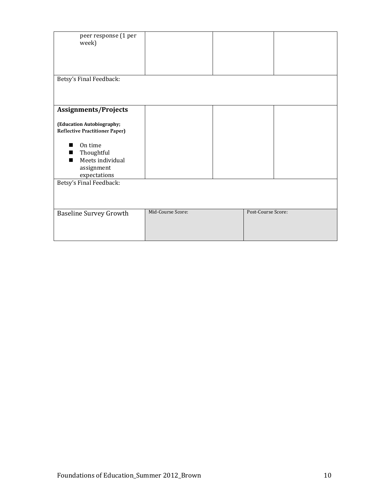| peer response (1 per<br>week)                                      |                   |                    |  |
|--------------------------------------------------------------------|-------------------|--------------------|--|
|                                                                    |                   |                    |  |
| Betsy's Final Feedback:                                            |                   |                    |  |
|                                                                    |                   |                    |  |
| <b>Assignments/Projects</b>                                        |                   |                    |  |
| (Education Autobiography;<br><b>Reflective Practitioner Paper)</b> |                   |                    |  |
| On time                                                            |                   |                    |  |
| Thoughtful                                                         |                   |                    |  |
| Meets individual<br>assignment                                     |                   |                    |  |
| expectations                                                       |                   |                    |  |
| Betsy's Final Feedback:                                            |                   |                    |  |
| <b>Baseline Survey Growth</b>                                      | Mid-Course Score: | Post-Course Score: |  |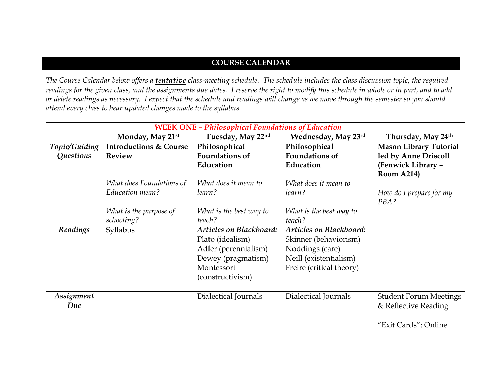## **COURSE CALENDAR**

*The Course Calendar below offers a tentative class-meeting schedule. The schedule includes the class discussion topic, the required readings for the given class, and the assignments due dates. I reserve the right to modify this schedule in whole or in part, and to add or delete readings as necessary. I expect that the schedule and readings will change as we move through the semester so you should attend every class to hear updated changes made to the syllabus.* 

|               | <b>WEEK ONE - Philosophical Foundations of Education</b> |                                |                          |                               |  |  |
|---------------|----------------------------------------------------------|--------------------------------|--------------------------|-------------------------------|--|--|
|               | Monday, May 21st                                         | Tuesday, May 22nd              | Wednesday, May 23rd      | Thursday, May 24th            |  |  |
| Topic/Guiding | <b>Introductions &amp; Course</b>                        | Philosophical                  | Philosophical            | <b>Mason Library Tutorial</b> |  |  |
| Questions     | <b>Review</b>                                            | <b>Foundations of</b>          | <b>Foundations of</b>    | led by Anne Driscoll          |  |  |
|               |                                                          | Education                      | Education                | (Fenwick Library -            |  |  |
|               |                                                          |                                |                          | <b>Room A214)</b>             |  |  |
|               | What does Foundations of                                 | What does it mean to           | What does it mean to     |                               |  |  |
|               | Education mean?                                          | learn?                         | learn?                   | How do I prepare for my       |  |  |
|               |                                                          |                                |                          | PBA?                          |  |  |
|               | What is the purpose of                                   | What is the best way to        | What is the best way to  |                               |  |  |
|               | schooling?                                               | teach?                         | teach?                   |                               |  |  |
| Readings      | Syllabus                                                 | <b>Articles on Blackboard:</b> | Articles on Blackboard:  |                               |  |  |
|               |                                                          | Plato (idealism)               | Skinner (behaviorism)    |                               |  |  |
|               |                                                          | Adler (perennialism)           | Noddings (care)          |                               |  |  |
|               |                                                          | Dewey (pragmatism)             | Neill (existentialism)   |                               |  |  |
|               |                                                          | Montessori                     | Freire (critical theory) |                               |  |  |
|               |                                                          | (constructivism)               |                          |                               |  |  |
|               |                                                          |                                |                          |                               |  |  |
| Assignment    |                                                          | Dialectical Journals           | Dialectical Journals     | <b>Student Forum Meetings</b> |  |  |
| Due           |                                                          |                                |                          | & Reflective Reading          |  |  |
|               |                                                          |                                |                          |                               |  |  |
|               |                                                          |                                |                          | "Exit Cards": Online          |  |  |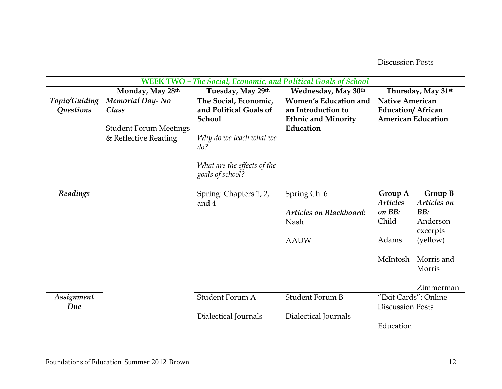|                                   |                                                                                          |                                                                                                                                   |                                                                                               | <b>Discussion Posts</b>                                                         |                                                                                                        |
|-----------------------------------|------------------------------------------------------------------------------------------|-----------------------------------------------------------------------------------------------------------------------------------|-----------------------------------------------------------------------------------------------|---------------------------------------------------------------------------------|--------------------------------------------------------------------------------------------------------|
|                                   |                                                                                          |                                                                                                                                   | <b>WEEK TWO - The Social, Economic, and Political Goals of School</b>                         |                                                                                 |                                                                                                        |
|                                   | Monday, May 28th                                                                         | Tuesday, May 29th                                                                                                                 | Wednesday, May 30th                                                                           |                                                                                 | Thursday, May 31 <sup>st</sup>                                                                         |
| Topic/Guiding<br><b>Questions</b> | <b>Memorial Day-No</b><br>Class<br><b>Student Forum Meetings</b><br>& Reflective Reading | The Social, Economic,<br>and Political Goals of<br><b>School</b><br>Why do we teach what we<br>do?<br>What are the effects of the | <b>Women's Education and</b><br>an Introduction to<br><b>Ethnic and Minority</b><br>Education | <b>Native American</b><br><b>Education/African</b><br><b>American Education</b> |                                                                                                        |
|                                   |                                                                                          | goals of school?                                                                                                                  |                                                                                               |                                                                                 |                                                                                                        |
| Readings                          |                                                                                          | Spring: Chapters 1, 2,<br>and 4                                                                                                   | Spring Ch. 6<br><b>Articles on Blackboard:</b><br><b>Nash</b><br><b>AAUW</b>                  | Group A<br><b>Articles</b><br>on BB:<br>Child<br>Adams<br>McIntosh              | Group B<br>Articles on<br>BB:<br>Anderson<br>excerpts<br>(yellow)<br>Morris and<br>Morris<br>Zimmerman |
| Assignment<br>Due                 |                                                                                          | Student Forum A<br>Dialectical Journals                                                                                           | <b>Student Forum B</b><br>Dialectical Journals                                                | "Exit Cards": Online<br><b>Discussion Posts</b><br>Education                    |                                                                                                        |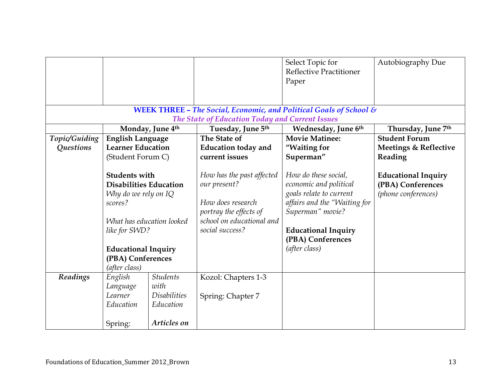|               |                                                                                                                                                                               |                                                             |                                                                                                                                          | Select Topic for<br><b>Reflective Practitioner</b><br>Paper                                                                                                                                       | Autobiography Due                                                      |
|---------------|-------------------------------------------------------------------------------------------------------------------------------------------------------------------------------|-------------------------------------------------------------|------------------------------------------------------------------------------------------------------------------------------------------|---------------------------------------------------------------------------------------------------------------------------------------------------------------------------------------------------|------------------------------------------------------------------------|
|               |                                                                                                                                                                               |                                                             | The State of Education Today and Current Issues                                                                                          | <b>WEEK THREE - The Social, Economic, and Political Goals of School &amp;</b>                                                                                                                     |                                                                        |
|               |                                                                                                                                                                               | Monday, June 4th                                            | Tuesday, June 5th                                                                                                                        | Wednesday, June 6th                                                                                                                                                                               | Thursday, June 7th                                                     |
| Topic/Guiding | <b>English Language</b>                                                                                                                                                       |                                                             | The State of                                                                                                                             | <b>Movie Matinee:</b>                                                                                                                                                                             | <b>Student Forum</b>                                                   |
| Questions     | <b>Learner Education</b><br>(Student Forum C)                                                                                                                                 |                                                             | <b>Education today and</b><br>current issues                                                                                             | "Waiting for<br>Superman"                                                                                                                                                                         | <b>Meetings &amp; Reflective</b><br>Reading                            |
|               | <b>Students with</b><br><b>Disabilities Education</b><br>Why do we rely on IQ<br>scores?<br>like for SWD?<br><b>Educational Inquiry</b><br>(PBA) Conferences<br>(after class) | What has education looked                                   | How has the past affected<br>our present?<br>How does research<br>portray the effects of<br>school on educational and<br>social success? | How do these social,<br>economic and political<br>goals relate to current<br>affairs and the "Waiting for<br>Superman" movie?<br><b>Educational Inquiry</b><br>(PBA) Conferences<br>(after class) | <b>Educational Inquiry</b><br>(PBA) Conferences<br>(phone conferences) |
| Readings      | English<br>Language<br>Learner<br>Education                                                                                                                                   | <b>Students</b><br>with<br><i>Disabilities</i><br>Education | Kozol: Chapters 1-3<br>Spring: Chapter 7                                                                                                 |                                                                                                                                                                                                   |                                                                        |
|               | Spring:                                                                                                                                                                       | Articles on                                                 |                                                                                                                                          |                                                                                                                                                                                                   |                                                                        |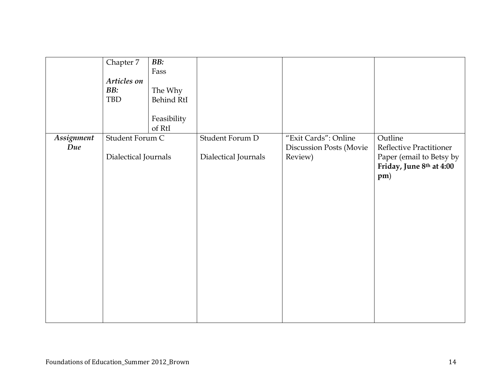| Assignment | Chapter 7<br>Articles on<br>BB:<br>TBD<br>Student Forum C | BB:<br>Fass<br>The Why<br>Behind RtI<br>Feasibility<br>of RtI | Student Forum D      | "Exit Cards": Online                      | Outline                                                                                |
|------------|-----------------------------------------------------------|---------------------------------------------------------------|----------------------|-------------------------------------------|----------------------------------------------------------------------------------------|
| Due        | Dialectical Journals                                      |                                                               | Dialectical Journals | <b>Discussion Posts (Movie</b><br>Review) | Reflective Practitioner<br>Paper (email to Betsy by<br>Friday, June 8th at 4:00<br>pm) |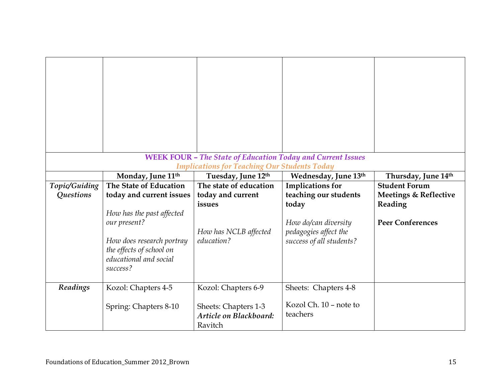|               |                                                                                                                                          | <b>WEEK FOUR - The State of Education Today and Current Issues</b>        |                                                                           |                                             |
|---------------|------------------------------------------------------------------------------------------------------------------------------------------|---------------------------------------------------------------------------|---------------------------------------------------------------------------|---------------------------------------------|
|               | Monday, June 11th                                                                                                                        | <b>Implications for Teaching Our Students Today</b><br>Tuesday, June 12th | Wednesday, June 13th                                                      | Thursday, June 14th                         |
| Topic/Guiding | The State of Education                                                                                                                   | The state of education                                                    | <b>Implications for</b>                                                   | <b>Student Forum</b>                        |
| Questions     | today and current issues                                                                                                                 | today and current<br>issues                                               | teaching our students<br>today                                            | <b>Meetings &amp; Reflective</b><br>Reading |
|               | How has the past affected<br>our present?<br>How does research portray<br>the effects of school on<br>educational and social<br>success? | How has NCLB affected<br>education?                                       | How do/can diversity<br>pedagogies affect the<br>success of all students? | <b>Peer Conferences</b>                     |
| Readings      | Kozol: Chapters 4-5                                                                                                                      | Kozol: Chapters 6-9                                                       | Sheets: Chapters 4-8                                                      |                                             |
|               | Spring: Chapters 8-10                                                                                                                    | Sheets: Chapters 1-3<br>Article on Blackboard:<br>Ravitch                 | Kozol Ch. 10 - note to<br>teachers                                        |                                             |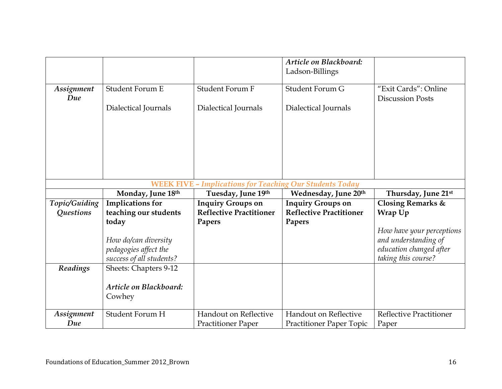|                   |                                                                 |                                | Article on Blackboard:         |                                                 |  |  |
|-------------------|-----------------------------------------------------------------|--------------------------------|--------------------------------|-------------------------------------------------|--|--|
|                   |                                                                 |                                | Ladson-Billings                |                                                 |  |  |
| Assignment<br>Due | Student Forum E                                                 | <b>Student Forum F</b>         | Student Forum G                | "Exit Cards": Online<br><b>Discussion Posts</b> |  |  |
|                   | Dialectical Journals                                            | Dialectical Journals           | Dialectical Journals           |                                                 |  |  |
|                   |                                                                 |                                |                                |                                                 |  |  |
|                   |                                                                 |                                |                                |                                                 |  |  |
|                   |                                                                 |                                |                                |                                                 |  |  |
|                   |                                                                 |                                |                                |                                                 |  |  |
|                   | <b>WEEK FIVE - Implications for Teaching Our Students Today</b> |                                |                                |                                                 |  |  |
|                   | Monday, June 18th                                               | Tuesday, June 19th             | Wednesday, June 20th           | Thursday, June 21st                             |  |  |
|                   |                                                                 |                                |                                |                                                 |  |  |
| Topic/Guiding     | <b>Implications for</b>                                         | <b>Inquiry Groups on</b>       | <b>Inquiry Groups on</b>       | <b>Closing Remarks &amp;</b>                    |  |  |
| Questions         | teaching our students                                           | <b>Reflective Practitioner</b> | <b>Reflective Practitioner</b> | Wrap Up                                         |  |  |
|                   | today                                                           | Papers                         | Papers                         |                                                 |  |  |
|                   |                                                                 |                                |                                | How have your perceptions                       |  |  |
|                   | How do/can diversity                                            |                                |                                | and understanding of                            |  |  |
|                   | pedagogies affect the                                           |                                |                                | education changed after                         |  |  |
|                   | success of all students?                                        |                                |                                | taking this course?                             |  |  |
| Readings          | Sheets: Chapters 9-12                                           |                                |                                |                                                 |  |  |
|                   |                                                                 |                                |                                |                                                 |  |  |
|                   | Article on Blackboard:                                          |                                |                                |                                                 |  |  |
|                   | Cowhey                                                          |                                |                                |                                                 |  |  |
| Assignment        | Student Forum H                                                 | Handout on Reflective          | Handout on Reflective          | <b>Reflective Practitioner</b>                  |  |  |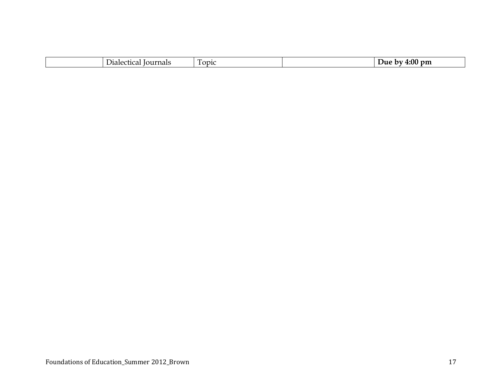| - 11<br>Tournais<br>- 1102<br>$\sim$ 10 $-$ | <b>ODIC</b> | 4:00<br>$_{\rm pm}$<br>J116<br>ь<br>. |
|---------------------------------------------|-------------|---------------------------------------|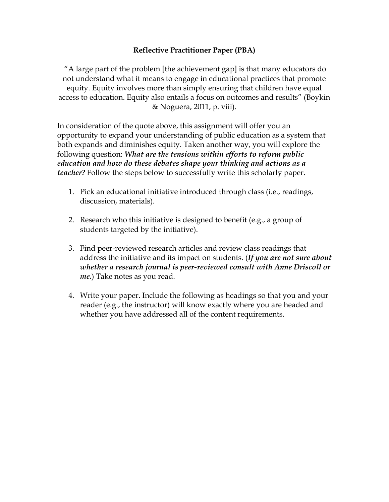### **Reflective Practitioner Paper (PBA)**

"A large part of the problem [the achievement gap] is that many educators do not understand what it means to engage in educational practices that promote equity. Equity involves more than simply ensuring that children have equal access to education. Equity also entails a focus on outcomes and results" (Boykin & Noguera, 2011, p. viii).

In consideration of the quote above, this assignment will offer you an opportunity to expand your understanding of public education as a system that both expands and diminishes equity. Taken another way, you will explore the following question: *What are the tensions within efforts to reform public education and how do these debates shape your thinking and actions as a teacher?* Follow the steps below to successfully write this scholarly paper.

- 1. Pick an educational initiative introduced through class (i.e., readings, discussion, materials).
- 2. Research who this initiative is designed to benefit (e.g., a group of students targeted by the initiative).
- 3. Find peer-reviewed research articles and review class readings that address the initiative and its impact on students. (*If you are not sure about whether a research journal is peer-reviewed consult with Anne Driscoll or me.*) Take notes as you read.
- 4. Write your paper. Include the following as headings so that you and your reader (e.g., the instructor) will know exactly where you are headed and whether you have addressed all of the content requirements.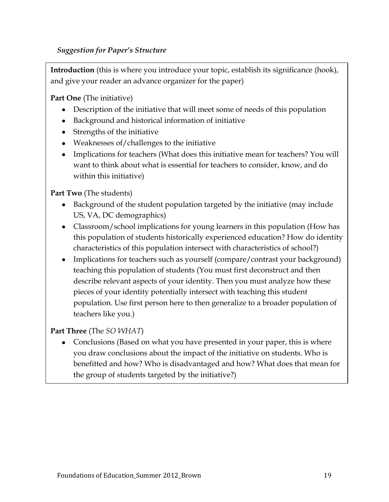## *Suggestion for Paper's Structure*

**Introduction** (this is where you introduce your topic, establish its significance (hook), and give your reader an advance organizer for the paper)

**Part One** (The initiative)

- Description of the initiative that will meet some of needs of this population
- Background and historical information of initiative
- Strengths of the initiative
- Weaknesses of/challenges to the initiative
- Implications for teachers (What does this initiative mean for teachers? You will want to think about what is essential for teachers to consider, know, and do within this initiative)

**Part Two** (The students)

- Background of the student population targeted by the initiative (may include US, VA, DC demographics)
- Classroom/school implications for young learners in this population (How has this population of students historically experienced education? How do identity characteristics of this population intersect with characteristics of school?)
- Implications for teachers such as yourself (compare/contrast your background) teaching this population of students (You must first deconstruct and then describe relevant aspects of your identity. Then you must analyze how these pieces of your identity potentially intersect with teaching this student population. Use first person here to then generalize to a broader population of teachers like you.)

## **Part Three** (The *SO WHAT*)

• Conclusions (Based on what you have presented in your paper, this is where you draw conclusions about the impact of the initiative on students. Who is benefitted and how? Who is disadvantaged and how? What does that mean for the group of students targeted by the initiative?)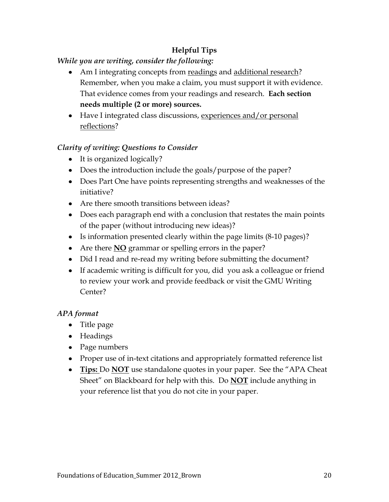# **Helpful Tips**

# *While you are writing, consider the following:*

- Am I integrating concepts from readings and additional research? Remember, when you make a claim, you must support it with evidence. That evidence comes from your readings and research. **Each section needs multiple (2 or more) sources.**
- Have I integrated class discussions, experiences and/or personal reflections?

# *Clarity of writing: Questions to Consider*

- It is organized logically?
- Does the introduction include the goals/purpose of the paper?
- Does Part One have points representing strengths and weaknesses of the initiative?
- Are there smooth transitions between ideas?
- Does each paragraph end with a conclusion that restates the main points of the paper (without introducing new ideas)?
- Is information presented clearly within the page limits (8-10 pages)?
- Are there **NO** grammar or spelling errors in the paper?
- Did I read and re-read my writing before submitting the document?
- If academic writing is difficult for you, did you ask a colleague or friend to review your work and provide feedback or visit the GMU Writing Center?

# *APA format*

- Title page
- Headings
- Page numbers
- Proper use of in-text citations and appropriately formatted reference list
- **Tips:** Do **NOT** use standalone quotes in your paper. See the "APA Cheat" Sheet" on Blackboard for help with this. Do **NOT** include anything in your reference list that you do not cite in your paper.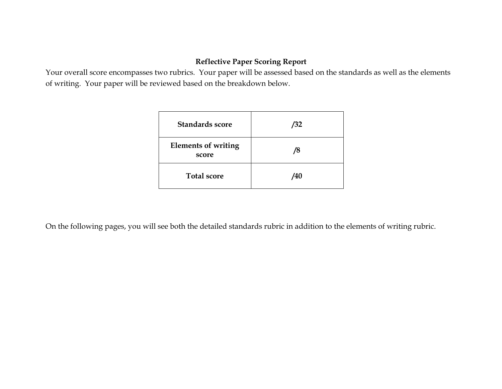# **Reflective Paper Scoring Report**

Your overall score encompasses two rubrics. Your paper will be assessed based on the standards as well as the elements of writing. Your paper will be reviewed based on the breakdown below.

| <b>Standards score</b>              | /32 |
|-------------------------------------|-----|
| <b>Elements of writing</b><br>score | /8  |
| <b>Total score</b>                  | /40 |

On the following pages, you will see both the detailed standards rubric in addition to the elements of writing rubric.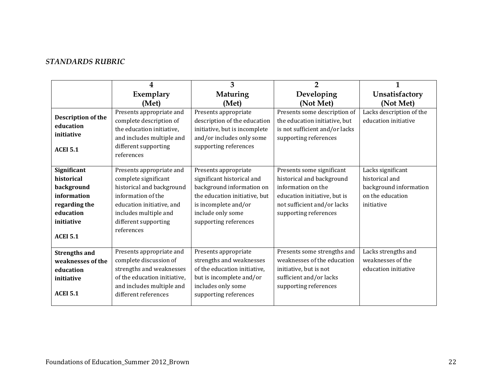# *STANDARDS RUBRIC*

|                                                                                                                       | 4                                                                                                                                                                                               | 3                                                                                                                                                                                      | $\overline{2}$                                                                                                                                                       | $\mathbf{1}$                                                                                    |
|-----------------------------------------------------------------------------------------------------------------------|-------------------------------------------------------------------------------------------------------------------------------------------------------------------------------------------------|----------------------------------------------------------------------------------------------------------------------------------------------------------------------------------------|----------------------------------------------------------------------------------------------------------------------------------------------------------------------|-------------------------------------------------------------------------------------------------|
|                                                                                                                       | Exemplary                                                                                                                                                                                       | <b>Maturing</b>                                                                                                                                                                        | Developing                                                                                                                                                           | Unsatisfactory                                                                                  |
|                                                                                                                       | (Met)                                                                                                                                                                                           | (Met)                                                                                                                                                                                  | (Not Met)                                                                                                                                                            | (Not Met)                                                                                       |
| Description of the<br>education<br>initiative<br><b>ACEI 5.1</b>                                                      | Presents appropriate and<br>complete description of<br>the education initiative,<br>and includes multiple and<br>different supporting<br>references                                             | Presents appropriate<br>description of the education<br>initiative, but is incomplete<br>and/or includes only some<br>supporting references                                            | Presents some description of<br>the education initiative, but<br>is not sufficient and/or lacks<br>supporting references                                             | Lacks description of the<br>education initiative                                                |
| Significant<br>historical<br>background<br>information<br>regarding the<br>education<br>initiative<br><b>ACEI 5.1</b> | Presents appropriate and<br>complete significant<br>historical and background<br>information of the<br>education initiative, and<br>includes multiple and<br>different supporting<br>references | Presents appropriate<br>significant historical and<br>background information on<br>the education initiative, but<br>is incomplete and/or<br>include only some<br>supporting references | Presents some significant<br>historical and background<br>information on the<br>education initiative, but is<br>not sufficient and/or lacks<br>supporting references | Lacks significant<br>historical and<br>background information<br>on the education<br>initiative |
| <b>Strengths and</b><br>weaknesses of the<br>education<br>initiative<br><b>ACEI 5.1</b>                               | Presents appropriate and<br>complete discussion of<br>strengths and weaknesses<br>of the education initiative,<br>and includes multiple and<br>different references                             | Presents appropriate<br>strengths and weaknesses<br>of the education initiative,<br>but is incomplete and/or<br>includes only some<br>supporting references                            | Presents some strengths and<br>weaknesses of the education<br>initiative, but is not<br>sufficient and/or lacks<br>supporting references                             | Lacks strengths and<br>weaknesses of the<br>education initiative                                |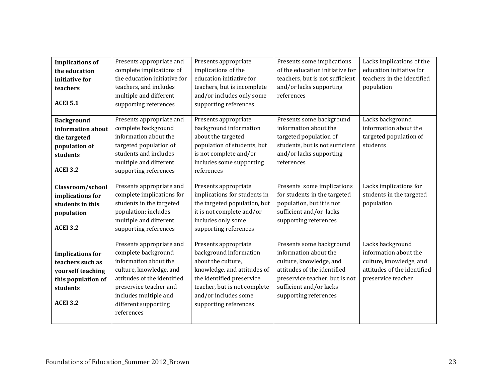| <b>Implications of</b><br>the education<br>initiative for<br>teachers<br><b>ACEI 5.1</b>                              | Presents appropriate and<br>complete implications of<br>the education initiative for<br>teachers, and includes<br>multiple and different<br>supporting references                                                           | Presents appropriate<br>implications of the<br>education initiative for<br>teachers, but is incomplete<br>and/or includes only some<br>supporting references                                                      | Presents some implications<br>of the education initiative for<br>teachers, but is not sufficient<br>and/or lacks supporting<br>references                                                         | Lacks implications of the<br>education initiative for<br>teachers in the identified<br>population                         |
|-----------------------------------------------------------------------------------------------------------------------|-----------------------------------------------------------------------------------------------------------------------------------------------------------------------------------------------------------------------------|-------------------------------------------------------------------------------------------------------------------------------------------------------------------------------------------------------------------|---------------------------------------------------------------------------------------------------------------------------------------------------------------------------------------------------|---------------------------------------------------------------------------------------------------------------------------|
| <b>Background</b><br>information about<br>the targeted<br>population of<br>students<br><b>ACEI 3.2</b>                | Presents appropriate and<br>complete background<br>information about the<br>targeted population of<br>students and includes<br>multiple and different<br>supporting references                                              | Presents appropriate<br>background information<br>about the targeted<br>population of students, but<br>is not complete and/or<br>includes some supporting<br>references                                           | Presents some background<br>information about the<br>targeted population of<br>students, but is not sufficient<br>and/or lacks supporting<br>references                                           | Lacks background<br>information about the<br>targeted population of<br>students                                           |
| Classroom/school<br>implications for<br>students in this<br>population<br><b>ACEI 3.2</b>                             | Presents appropriate and<br>complete implications for<br>students in the targeted<br>population; includes<br>multiple and different<br>supporting references                                                                | Presents appropriate<br>implications for students in<br>the targeted population, but<br>it is not complete and/or<br>includes only some<br>supporting references                                                  | Presents some implications<br>for students in the targeted<br>population, but it is not<br>sufficient and/or lacks<br>supporting references                                                       | Lacks implications for<br>students in the targeted<br>population                                                          |
| <b>Implications for</b><br>teachers such as<br>yourself teaching<br>this population of<br>students<br><b>ACEI 3.2</b> | Presents appropriate and<br>complete background<br>information about the<br>culture, knowledge, and<br>attitudes of the identified<br>preservice teacher and<br>includes multiple and<br>different supporting<br>references | Presents appropriate<br>background information<br>about the culture,<br>knowledge, and attitudes of<br>the identified preservice<br>teacher, but is not complete<br>and/or includes some<br>supporting references | Presents some background<br>information about the<br>culture, knowledge, and<br>attitudes of the identified<br>preservice teacher, but is not<br>sufficient and/or lacks<br>supporting references | Lacks background<br>information about the<br>culture, knowledge, and<br>attitudes of the identified<br>preservice teacher |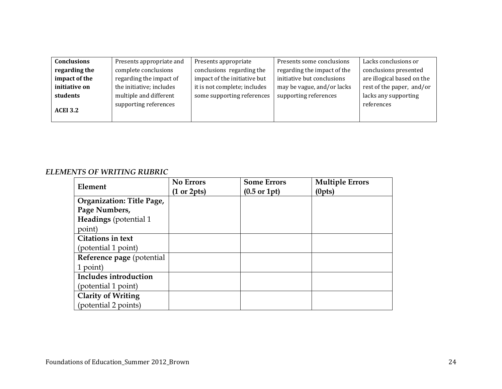| <b>Conclusions</b> | Presents appropriate and | Presents appropriate         | Presents some conclusions   | Lacks conclusions or       |
|--------------------|--------------------------|------------------------------|-----------------------------|----------------------------|
| regarding the      | complete conclusions     | conclusions regarding the    | regarding the impact of the | conclusions presented      |
| impact of the      | regarding the impact of  | impact of the initiative but | initiative but conclusions  | are illogical based on the |
| initiative on      | the initiative; includes | it is not complete; includes | may be vague, and/or lacks  | rest of the paper, and/or  |
| students           | multiple and different   | some supporting references   | supporting references       | lacks any supporting       |
|                    | supporting references    |                              |                             | references                 |
| <b>ACEI 3.2</b>    |                          |                              |                             |                            |
|                    |                          |                              |                             |                            |

### *ELEMENTS OF WRITING RUBRIC*

|                                  | <b>No Errors</b>               | <b>Some Errors</b>              | <b>Multiple Errors</b> |
|----------------------------------|--------------------------------|---------------------------------|------------------------|
| Element                          | $(1 \text{ or } 2 \text{pts})$ | $(0.5 \text{ or } 1 \text{pt})$ | (0pts)                 |
| <b>Organization: Title Page,</b> |                                |                                 |                        |
| Page Numbers,                    |                                |                                 |                        |
| Headings (potential 1            |                                |                                 |                        |
| point)                           |                                |                                 |                        |
| <b>Citations in text</b>         |                                |                                 |                        |
| (potential 1 point)              |                                |                                 |                        |
| Reference page (potential        |                                |                                 |                        |
| 1 point)                         |                                |                                 |                        |
| Includes introduction            |                                |                                 |                        |
| (potential 1 point)              |                                |                                 |                        |
| <b>Clarity of Writing</b>        |                                |                                 |                        |
| (potential 2 points)             |                                |                                 |                        |